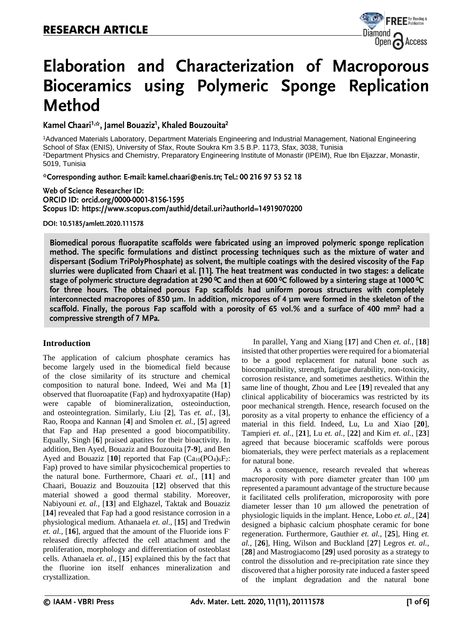

# Elaboration and Characterization of Macroporous Bioceramics using Polymeric Sponge Replication **Method**

Kamel Chaari<sup>1,\*</sup>\*, Jamel Bouaziz<sup>1</sup>, Khaled Bouzouita<sup>2</sup>

<sup>1</sup>Advanced Materials Laboratory, Department Materials Engineering and Industrial Management, National Engineering School of Sfax (ENIS), University of Sfax, Route Soukra Km 3.5 B.P. 1173, Sfax, 3038, Tunisia <sup>2</sup>Department Physics and Chemistry, Preparatory Engineering Institute of Monastir (IPEIM), Rue Ibn Eljazzar, Monastir, 5019, Tunisia

\*Corresponding author: E-mail: kamel.chaari@enis.tn; Tel.: 00 216 97 53 52 18

Web of Science Researcher ID: ORCID ID: orcid.org/0000-0001-8156-1595 Scopus ID: https://www.scopus.com/authid/detail.uri?authorId=14919070200

DOI: 10.5185/amlett.2020.111578

Biomedical porous fluorapatite scaffolds were fabricated using an improved polymeric sponge replication method. The specific formulations and distinct processing techniques such as the mixture of water and dispersant (Sodium TriPolyPhosphate) as solvent, the multiple coatings with the desired viscosity of the Fap slurries were duplicated from Chaari et al. [11]. The heat treatment was conducted in two stages: a delicate stage of polymeric structure degradation at 290 °C and then at 600 °C followed by a sintering stage at 1000 °C for three hours. The obtained porous Fap scaffolds had uniform porous structures with completely interconnected macropores of 850  $\mu$ m. In addition, micropores of 4  $\mu$ m were formed in the skeleton of the scaffold. Finally, the porous Fap scaffold with a porosity of 65 vol.% and a surface of 400 mm<sup>2</sup> had a compressive strength of 7 MPa.

## **Introduction**

The application of calcium phosphate ceramics has become largely used in the biomedical field because of the close similarity of its structure and chemical composition to natural bone. Indeed, Wei and Ma [**1**] observed that fluoroapatite (Fap) and hydroxyapatite (Hap) were capable of biomineralization, osteoinduction, and osteointegration. Similarly, Liu [**2**], Tas *et. al.,* [**3**], Rao, Roopa and Kannan [**4**] and Smolen *et. al.,* [**5**] agreed that Fap and Hap presented a good biocompatibility. Equally, Singh [**6**] praised apatites for their bioactivity. In addition, Ben Ayed, Bouaziz and Bouzouita [**7-9**], and Ben Ayed and Bouaziz  $[10]$  reported that Fap  $(Ca_{10}(PO_4)_6F_2)$ : Fap) proved to have similar physicochemical properties to the natural bone. Furthermore, Chaari *et. al.,* [**11**] and Chaari, Bouaziz and Bouzouita [**12**] observed that this material showed a good thermal stability. Moreover, Nabiyouni *et. al.,* [**13**] and Elghazel, Taktak and Bouaziz [**14**] revealed that Fap had a good resistance corrosion in a physiological medium. Athanaela *et. al.,* [**15**] and Tredwin *et. al.,* [**16**], argued that the amount of the Fluoride ions Freleased directly affected the cell attachment and the proliferation, morphology and differentiation of osteoblast cells. Athanaela *et. al.,* [**15**] explained this by the fact that the fluorine ion itself enhances mineralization and crystallization.

In parallel, Yang and Xiang [**17**] and Chen *et. al.,* [**18**] insisted that other properties were required for a biomaterial to be a good replacement for natural bone such as biocompatibility, strength, fatigue durability, non-toxicity, corrosion resistance, and sometimes aesthetics. Within the same line of thought, Zhou and Lee [**19**] revealed that any clinical applicability of bioceramics was restricted by its poor mechanical strength. Hence, research focused on the porosity as a vital property to enhance the efficiency of a material in this field. Indeed, Lu, Lu and Xiao [**20**], Tampieri *et. al.,* [**21**], Lu *et. al.,* [**22**] and Kim *et. al.,* [**23**] agreed that because bioceramic scaffolds were porous biomaterials, they were perfect materials as a replacement for natural bone.

As a consequence, research revealed that whereas macroporosity with pore diameter greater than 100 μm represented a paramount advantage of the structure because it facilitated cells proliferation, microporosity with pore diameter lesser than 10 μm allowed the penetration of physiologic liquids in the implant. Hence, Lobo *et. al.,* [**24**] designed a biphasic calcium phosphate ceramic for bone regeneration. Furthermore, Gauthier *et. al.,* [**25**], Hing *et. al.,* [**26**], Hing, Wilson and Buckland [**27**] Legros *et. al.,* [**28**] and Mastrogiacomo [**29**] used porosity as a strategy to control the dissolution and re-precipitation rate since they discovered that a higher porosity rate induced a faster speed of the implant degradation and the natural bone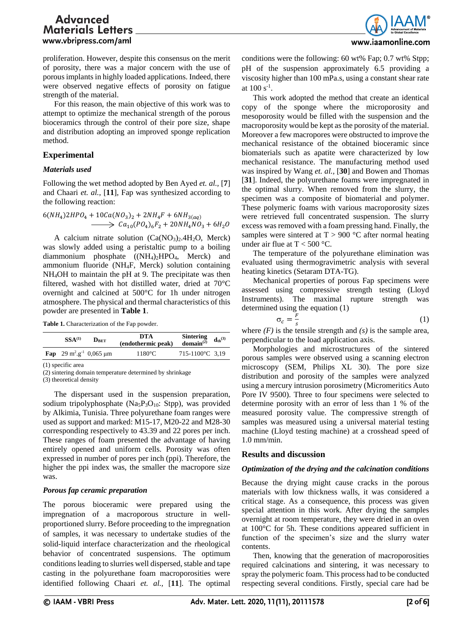

proliferation. However, despite this consensus on the merit of porosity, there was a major concern with the use of porous implants in highly loaded applications. Indeed, there were observed negative effects of porosity on fatigue strength of the material.

For this reason, the main objective of this work was to attempt to optimize the mechanical strength of the porous bioceramics through the control of their pore size, shape and distribution adopting an improved sponge replication method.

### **Experimental**

### *Materials used*

Following the wet method adopted by Ben Ayed *et. al.,* [**7**] and Chaari *et. al.,* [**11**], Fap was synthesized according to the following reaction:

$$
6(NH_4)2HPO_4 + 10Ca(NO_3)_2 + 2NH_4F + 6NH_{3(aq)}
$$
  

$$
\longrightarrow Ca_{10}(PO_4)_6F_2 + 20NH_4NO_3 + 6H_2O
$$

A calcium nitrate solution  $(Ca(NO<sub>3</sub>)<sub>2</sub>.4H<sub>2</sub>O, Merck)$ was slowly added using a peristaltic pump to a boiling diammonium phosphate ((NH<sub>4</sub>)<sub>2</sub>HPO<sub>4</sub>, Merck) and ammonium fluoride (NH4F, Merck) solution containing NH4OH to maintain the pH at 9. The precipitate was then filtered, washed with hot distilled water, dried at 70°C overnight and calcined at 500°C for 1h under nitrogen atmosphere. The physical and thermal characteristics of this powder are presented in **Table 1**.

**Table 1.** Characterization of the Fap powder.

| $SSA^{(1)}$ | DRET                                                        | DTA<br>(endothermic peak) | <b>Sintering</b><br>domain $^{(2)}$ | $d_{th}^{(3)}$ |
|-------------|-------------------------------------------------------------|---------------------------|-------------------------------------|----------------|
|             | <b>Fap</b> 29 m <sup>2</sup> .g <sup>-1</sup> 0,065 $\mu$ m | $1180^{\circ}$ C          | 715-1100°C 3.19                     |                |

(1) specific area

(2) sintering domain temperature determined by shrinkage

(3) theoretical density

The dispersant used in the suspension preparation, sodium tripolyphosphate ( $N_{a5}P_3O_{10}$ : Stpp), was provided by Alkimia, Tunisia. Three polyurethane foam ranges were used as support and marked: M15-17, M20-22 and M28-30 corresponding respectively to 43.39 and 22 pores per inch. These ranges of foam presented the advantage of having entirely opened and uniform cells. Porosity was often expressed in number of pores per inch (ppi). Therefore, the higher the ppi index was, the smaller the macropore size was.

### *Porous fap ceramic preparation*

The porous bioceramic were prepared using the impregnation of a macroporous structure in wellproportioned slurry. Before proceeding to the impregnation of samples, it was necessary to undertake studies of the solid-liquid interface characterization and the rheological behavior of concentrated suspensions. The optimum conditions leading to slurries well dispersed, stable and tape casting in the polyurethane foam macroporosities were identified following Chaari *et. al.,* [**11**]. The optimal conditions were the following: 60 wt% Fap; 0.7 wt% Stpp; pH of the suspension approximately 6.5 providing a viscosity higher than 100 mPa.s, using a constant shear rate at  $100 s^{-1}$ .

This work adopted the method that create an identical copy of the sponge where the microporosity and mesoporosity would be filled with the suspension and the macroporosity would be kept as the porosity of the material. Moreover a few macropores were obstructed to improve the mechanical resistance of the obtained bioceramic since biomaterials such as apatite were characterized by low mechanical resistance. The manufacturing method used was inspired by Wang *et. al.,* [**30**] and Bowen and Thomas [**31**]. Indeed, the polyurethane foams were impregnated in the optimal slurry. When removed from the slurry, the specimen was a composite of biomaterial and polymer. These polymeric foams with various macroporosity sizes were retrieved full concentrated suspension. The slurry excess was removed with a foam pressing hand. Finally, the samples were sintered at  $T > 900$  °C after normal heating under air flue at  $T < 500$  °C.

The temperature of the polyurethane elimination was evaluated using thermogravimetric analysis with several heating kinetics (Setaram DTA-TG).

Mechanical properties of porous Fap specimens were assessed using compressive strength testing (Lloyd Instruments). The maximal rupture strength was determined using the equation (1)

$$
\sigma_c = \frac{F}{s} \tag{1}
$$

where  $(F)$  is the tensile strength and  $(s)$  is the sample area, perpendicular to the load application axis.

Morphologies and microstructures of the sintered porous samples were observed using a scanning electron microscopy (SEM, Philips XL 30). The pore size distribution and porosity of the samples were analyzed using a mercury intrusion porosimetry (Micromeritics Auto Pore IV 9500). Three to four specimens were selected to determine porosity with an error of less than 1 % of the measured porosity value. The compressive strength of samples was measured using a universal material testing machine (Lloyd testing machine) at a crosshead speed of 1.0 mm/min.

### **Results and discussion**

### *Optimization of the drying and the calcination conditions*

Because the drying might cause cracks in the porous materials with low thickness walls, it was considered a critical stage. As a consequence, this process was given special attention in this work. After drying the samples overnight at room temperature, they were dried in an oven at 100°C for 5h. These conditions appeared sufficient in function of the specimen's size and the slurry water contents.

Then, knowing that the generation of macroporosities required calcinations and sintering, it was necessary to spray the polymeric foam. This process had to be conducted respecting several conditions. Firstly, special care had be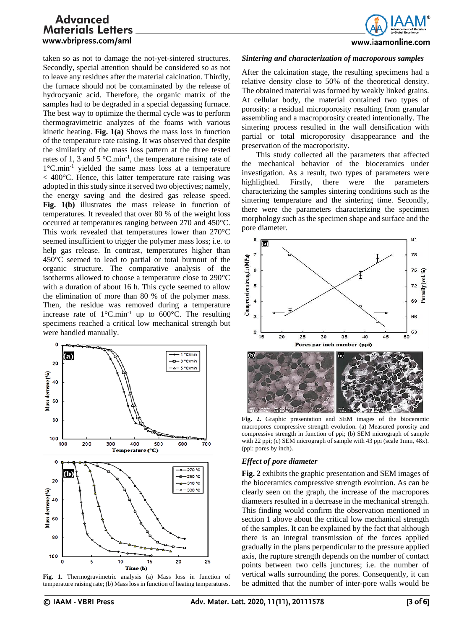www.iaamonline.com

taken so as not to damage the not-yet-sintered structures. Secondly, special attention should be considered so as not to leave any residues after the material calcination. Thirdly, the furnace should not be contaminated by the release of hydrocyanic acid. Therefore, the organic matrix of the samples had to be degraded in a special degassing furnace. The best way to optimize the thermal cycle was to perform thermogravimetric analyzes of the foams with various kinetic heating. **Fig. 1(a)** Shows the mass loss in function of the temperature rate raising. It was observed that despite the similarity of the mass loss pattern at the three tested rates of 1, 3 and 5  $^{\circ}$ C.min<sup>-1</sup>, the temperature raising rate of 1°C.min-1 yielded the same mass loss at a temperature  $<$  400 $^{\circ}$ C. Hence, this latter temperature rate raising was adopted in this study since it served two objectives; namely, the energy saving and the desired gas release speed. **Fig. 1(b)** illustrates the mass release in function of temperatures. It revealed that over 80 % of the weight loss occurred at temperatures ranging between 270 and 450°C. This work revealed that temperatures lower than 270°C seemed insufficient to trigger the polymer mass loss; i.e. to help gas release. In contrast, temperatures higher than 450°C seemed to lead to partial or total burnout of the organic structure. The comparative analysis of the isotherms allowed to choose a temperature close to 290°C with a duration of about 16 h. This cycle seemed to allow the elimination of more than 80 % of the polymer mass. Then, the residue was removed during a temperature increase rate of  $1^{\circ}$ C.min<sup>-1</sup> up to 600 $^{\circ}$ C. The resulting specimens reached a critical low mechanical strength but were handled manually.



**Fig. 1.** Thermogravimetric analysis (a) Mass loss in function of temperature raising rate; (b) Mass loss in function of heating temperatures.

After the calcination stage, the resulting specimens had a relative density close to 50% of the theoretical density. The obtained material was formed by weakly linked grains. At cellular body, the material contained two types of porosity: a residual microporosity resulting from granular assembling and a macroporosity created intentionally. The sintering process resulted in the wall densification with partial or total microporosity disappearance and the preservation of the macroporisity.

This study collected all the parameters that affected the mechanical behavior of the bioceramics under investigation. As a result, two types of parameters were highlighted. Firstly, there were the parameters characterizing the samples sintering conditions such as the sintering temperature and the sintering time. Secondly, there were the parameters characterizing the specimen morphology such as the specimen shape and surface and the pore diameter.



**Fig. 2.** Graphic presentation and SEM images of the bioceramic macropores compressive strength evolution. (a) Measured porosity and compressive strength in function of ppi; (b) SEM micrograph of sample with 22 ppi; (c) SEM micrograph of sample with 43 ppi (scale 1mm, 48x). (ppi: pores by inch).

## *Effect of pore diameter*

**Fig. 2** exhibits the graphic presentation and SEM images of the bioceramics compressive strength evolution. As can be clearly seen on the graph, the increase of the macropores diameters resulted in a decrease in the mechanical strength. This finding would confirm the observation mentioned in section 1 above about the critical low mechanical strength of the samples. It can be explained by the fact that although there is an integral transmission of the forces applied gradually in the plans perpendicular to the pressure applied axis, the rupture strength depends on the number of contact points between two cells junctures; i.e. the number of vertical walls surrounding the pores. Consequently, it can be admitted that the number of inter-pore walls would be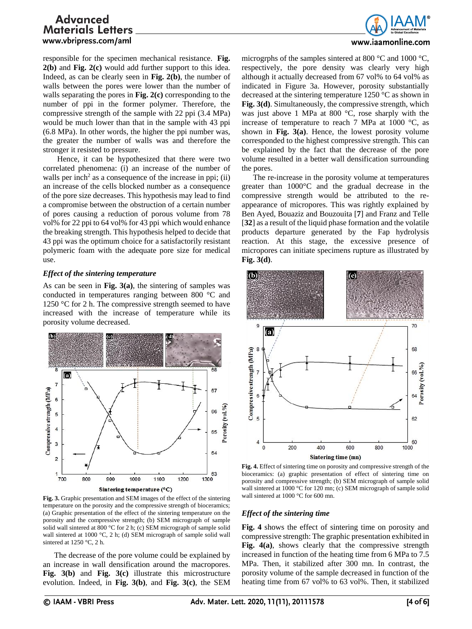

responsible for the specimen mechanical resistance. **Fig. 2(b)** and **Fig. 2(c)** would add further support to this idea. Indeed, as can be clearly seen in **Fig. 2(b)**, the number of walls between the pores were lower than the number of walls separating the pores in **Fig. 2(c)** corresponding to the number of ppi in the former polymer. Therefore, the compressive strength of the sample with 22 ppi (3.4 MPa) would be much lower than that in the sample with 43 ppi (6.8 MPa). In other words, the higher the ppi number was, the greater the number of walls was and therefore the stronger it resisted to pressure.

Hence, it can be hypothesized that there were two correlated phenomena: (i) an increase of the number of walls per inch<sup>2</sup> as a consequence of the increase in ppi; (ii) an increase of the cells blocked number as a consequence of the pore size decreases. This hypothesis may lead to find a compromise between the obstruction of a certain number of pores causing a reduction of porous volume from 78 vol% for 22 ppi to 64 vol% for 43 ppi which would enhance the breaking strength. This hypothesis helped to decide that 43 ppi was the optimum choice for a satisfactorily resistant polymeric foam with the adequate pore size for medical use.

### *Effect of the sintering temperature*

As can be seen in **Fig. 3(a)**, the sintering of samples was conducted in temperatures ranging between 800 °C and 1250  $\degree$ C for 2 h. The compressive strength seemed to have increased with the increase of temperature while its porosity volume decreased.



**Fig. 3.** Graphic presentation and SEM images of the effect of the sintering temperature on the porosity and the compressive strength of bioceramics; (a) Graphic presentation of the effect of the sintering temperature on the porosity and the compressive strength; (b) SEM micrograph of sample solid wall sintered at 800 °C for 2 h; (c) SEM micrograph of sample solid wall sintered at 1000 °C, 2 h; (d) SEM micrograph of sample solid wall sintered at 1250 °C, 2 h.

The decrease of the pore volume could be explained by an increase in wall densification around the macropores. **Fig. 3(b)** and **Fig. 3(c)** illustrate this microstructure evolution. Indeed, in **Fig. 3(b)**, and **Fig. 3(c)**, the SEM

microgrphs of the samples sintered at 800 °C and 1000 °C, respectively, the pore density was clearly very high although it actually decreased from 67 vol% to 64 vol% as indicated in Figure 3a. However, porosity substantially decreased at the sintering temperature 1250 °C as shown in **Fig. 3(d)**. Simultaneously, the compressive strength, which was just above 1 MPa at 800 °C, rose sharply with the increase of temperature to reach 7 MPa at 1000  $\degree$ C, as shown in **Fig. 3(a)**. Hence, the lowest porosity volume corresponded to the highest compressive strength. This can be explained by the fact that the decrease of the pore volume resulted in a better wall densification surrounding the pores.

The re-increase in the porosity volume at temperatures greater than 1000°C and the gradual decrease in the compressive strength would be attributed to the reappearance of micropores. This was rightly explained by Ben Ayed, Bouaziz and Bouzouita [**7**] and Franz and Telle [**32**] as a result of the liquid phase formation and the volatile products departure generated by the Fap hydrolysis reaction. At this stage, the excessive presence of micropores can initiate specimens rupture as illustrated by **Fig. 3(d)**.



**Fig. 4.** Effect of sintering time on porosity and compressive strength of the bioceramics: (a) graphic presentation of effect of sintering time on porosity and compressive strength; (b) SEM micrograph of sample solid wall sintered at 1000 °C for 120 mn; (c) SEM micrograph of sample solid wall sintered at 1000 °C for 600 mn.

### *Effect of the sintering time*

**Fig. 4** shows the effect of sintering time on porosity and compressive strength: The graphic presentation exhibited in **Fig. 4(a)**, shows clearly that the compressive strength increased in function of the heating time from 6 MPa to 7.5 MPa. Then, it stabilized after 300 mn. In contrast, the porosity volume of the sample decreased in function of the heating time from 67 vol% to 63 vol%. Then, it stabilized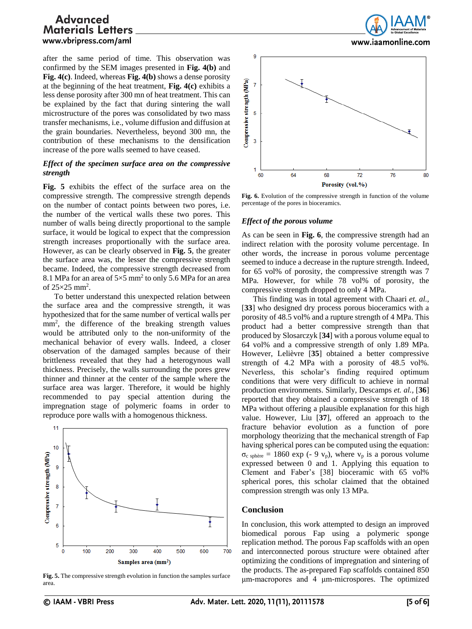after the same period of time. This observation was confirmed by the SEM images presented in **Fig. 4(b)** and **Fig. 4(c)**. Indeed, whereas **Fig. 4(b)** shows a dense porosity at the beginning of the heat treatment, **Fig. 4(c)** exhibits a less dense porosity after 300 mn of heat treatment. This can be explained by the fact that during sintering the wall microstructure of the pores was consolidated by two mass transfer mechanisms, i.e., volume diffusion and diffusion at the grain boundaries. Nevertheless, beyond 300 mn, the contribution of these mechanisms to the densification increase of the pore walls seemed to have ceased.

### *Effect of the specimen surface area on the compressive strength*

**Fig. 5** exhibits the effect of the surface area on the compressive strength. The compressive strength depends on the number of contact points between two pores, i.e. the number of the vertical walls these two pores. This number of walls being directly proportional to the sample surface, it would be logical to expect that the compression strength increases proportionally with the surface area. However, as can be clearly observed in **Fig. 5**, the greater the surface area was, the lesser the compressive strength became. Indeed, the compressive strength decreased from 8.1 MPa for an area of  $5\times 5$  mm<sup>2</sup> to only 5.6 MPa for an area of  $25\times25$  mm<sup>2</sup>.

To better understand this unexpected relation between the surface area and the compressive strength, it was hypothesized that for the same number of vertical walls per mm<sup>2</sup>, the difference of the breaking strength values would be attributed only to the non-uniformity of the mechanical behavior of every walls. Indeed, a closer observation of the damaged samples because of their brittleness revealed that they had a heterogynous wall thickness. Precisely, the walls surrounding the pores grew thinner and thinner at the center of the sample where the surface area was larger. Therefore, it would be highly recommended to pay special attention during the impregnation stage of polymeric foams in order to reproduce pore walls with a homogenous thickness.



**Fig. 5.** The compressive strength evolution in function the samples surface area.





**Fig. 6.** Evolution of the compressive strength in function of the volume percentage of the pores in bioceramics.

### *Effect of the porous volume*

As can be seen in **Fig. 6**, the compressive strength had an indirect relation with the porosity volume percentage. In other words, the increase in porous volume percentage seemed to induce a decrease in the rupture strength. Indeed, for 65 vol% of porosity, the compressive strength was 7 MPa. However, for while 78 vol% of porosity, the compressive strength dropped to only 4 MPa.

This finding was in total agreement with Chaari *et. al.,* [**33**] who designed dry process porous bioceramics with a porosity of 48.5 vol% and a rupture strength of 4 MPa. This product had a better compressive strength than that produced by Slosarczyk [**34**] with a porous volume equal to 64 vol% and a compressive strength of only 1.89 MPa. However, Lelièvre [**35**] obtained a better compressive strength of 4.2 MPa with a porosity of 48.5 vol%. Neverless, this scholar's finding required optimum conditions that were very difficult to achieve in normal production environments. Similarly, Descamps *et. al.,* [**36**] reported that they obtained a compressive strength of 18 MPa without offering a plausible explanation for this high value. However, Liu [**37**], offered an approach to the fracture behavior evolution as a function of pore morphology theorizing that the mechanical strength of Fap having spherical pores can be computed using the equation:  $\sigma_{\rm c}$  sphère = 1860 exp (- 9 v<sub>p</sub>), where v<sub>p</sub> is a porous volume expressed between 0 and 1. Applying this equation to Clement and Faber's [38] bioceramic with 65 vol% spherical pores, this scholar claimed that the obtained compression strength was only 13 MPa.

### **Conclusion**

In conclusion, this work attempted to design an improved biomedical porous Fap using a polymeric sponge replication method. The porous Fap scaffolds with an open and interconnected porous structure were obtained after optimizing the conditions of impregnation and sintering of the products. The as-prepared Fap scaffolds contained 850 μm-macropores and 4 μm-microspores. The optimized